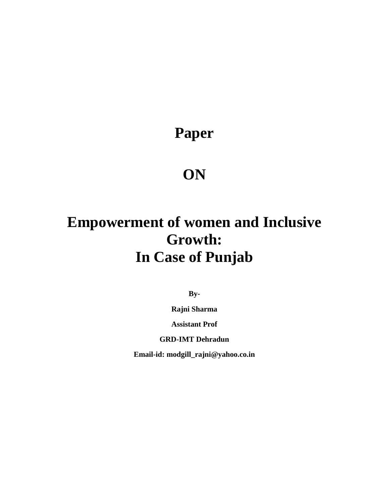**Paper**

## **ON**

# **Empowerment of women and Inclusive Growth: In Case of Punjab**

**By-**

**Rajni Sharma** 

**Assistant Prof** 

**GRD-IMT Dehradun**

**Email-id: modgill\_rajni@yahoo.co.in**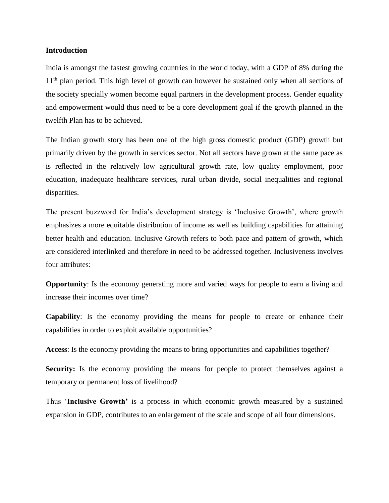#### **Introduction**

India is amongst the fastest growing countries in the world today, with a GDP of 8% during the 1<sup>th</sup> plan period. This high level of growth can however be sustained only when all sections of the society specially women become equal partners in the development process. Gender equality and empowerment would thus need to be a core development goal if the growth planned in the twelfth Plan has to be achieved.

The Indian growth story has been one of the high gross domestic product (GDP) growth but primarily driven by the growth in services sector. Not all sectors have grown at the same pace as is reflected in the relatively low agricultural growth rate, low quality employment, poor education, inadequate healthcare services, rural urban divide, social inequalities and regional disparities.

The present buzzword for India's development strategy is 'Inclusive Growth', where growth emphasizes a more equitable distribution of income as well as building capabilities for attaining better health and education. Inclusive Growth refers to both pace and pattern of growth, which are considered interlinked and therefore in need to be addressed together. Inclusiveness involves four attributes:

**Opportunity**: Is the economy generating more and varied ways for people to earn a living and increase their incomes over time?

**Capability**: Is the economy providing the means for people to create or enhance their capabilities in order to exploit available opportunities?

**Access**: Is the economy providing the means to bring opportunities and capabilities together?

**Security:** Is the economy providing the means for people to protect themselves against a temporary or permanent loss of livelihood?

Thus '**Inclusive Growth'** is a process in which economic growth measured by a sustained expansion in GDP, contributes to an enlargement of the scale and scope of all four dimensions.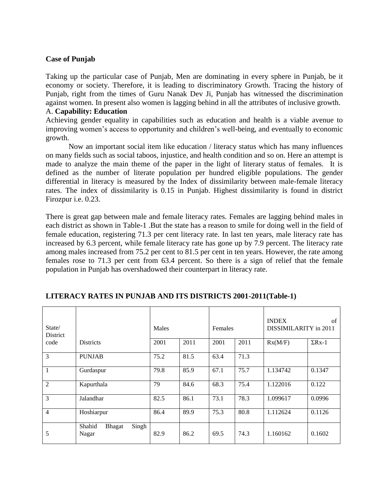#### **Case of Punjab**

Taking up the particular case of Punjab, Men are dominating in every sphere in Punjab, be it economy or society. Therefore, it is leading to discriminatory Growth. Tracing the history of Punjab, right from the times of Guru Nanak Dev Ji, Punjab has witnessed the discrimination against women. In present also women is lagging behind in all the attributes of inclusive growth.

#### A. **Capability: Education**

Achieving gender equality in capabilities such as education and health is a viable avenue to improving women's access to opportunity and children's well-being, and eventually to economic growth.

Now an important social item like education / literacy status which has many influences on many fields such as social taboos, injustice, and health condition and so on. Here an attempt is made to analyze the main theme of the paper in the light of literary status of females. It is defined as the number of literate population per hundred eligible populations. The gender differential in literacy is measured by the Index of dissimilarity between male-female literacy rates. The index of dissimilarity is 0.15 in Punjab. Highest dissimilarity is found in district Firozpur i.e. 0.23.

There is great gap between male and female literacy rates. Females are lagging behind males in each district as shown in Table-1 .But the state has a reason to smile for doing well in the field of female education, registering 71.3 per cent literacy rate. In last ten years, male literacy rate has increased by 6.3 percent, while female literacy rate has gone up by 7.9 percent. The literacy rate among males increased from 75.2 per cent to 81.5 per cent in ten years. However, the rate among females rose to 71.3 per cent from 63.4 percent. So there is a sign of relief that the female population in Punjab has overshadowed their counterpart in literacy rate.

| State/<br>District |                                    | Males |      | Females |      | <b>INDEX</b><br>of<br>DISSIMILARITY in 2011 |               |
|--------------------|------------------------------------|-------|------|---------|------|---------------------------------------------|---------------|
| code               | <b>Districts</b>                   | 2001  | 2011 | 2001    | 2011 | Rx(M/F)                                     | $\Sigma$ Rx-1 |
| $\overline{3}$     | <b>PUNJAB</b>                      | 75.2  | 81.5 | 63.4    | 71.3 |                                             |               |
| $\overline{1}$     | Gurdaspur                          | 79.8  | 85.9 | 67.1    | 75.7 | 1.134742                                    | 0.1347        |
| 2                  | Kapurthala                         | 79    | 84.6 | 68.3    | 75.4 | 1.122016                                    | 0.122         |
| 3                  | Jalandhar                          | 82.5  | 86.1 | 73.1    | 78.3 | 1.099617                                    | 0.0996        |
| $\overline{4}$     | Hoshiarpur                         | 86.4  | 89.9 | 75.3    | 80.8 | 1.112624                                    | 0.1126        |
| 5                  | Singh<br>Shahid<br>Bhagat<br>Nagar | 82.9  | 86.2 | 69.5    | 74.3 | 1.160162                                    | 0.1602        |

#### **LITERACY RATES IN PUNJAB AND ITS DISTRICTS 2001-2011(Table-1)**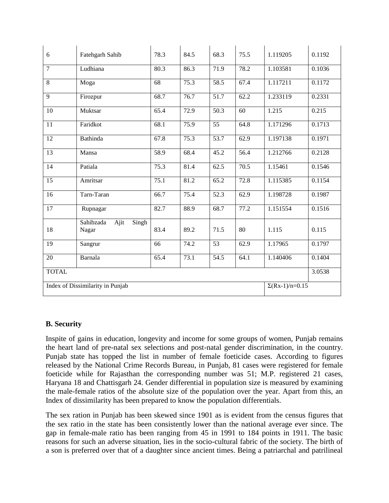| 6                                | Fatehgarh Sahib                     | 78.3            | 84.5              | 68.3              | 75.5                  | 1.119205 | 0.1192 |
|----------------------------------|-------------------------------------|-----------------|-------------------|-------------------|-----------------------|----------|--------|
| $\overline{7}$                   | Ludhiana                            | 80.3            | 86.3              | 71.9              | 78.2                  | 1.103581 | 0.1036 |
| $\overline{8}$                   | Moga                                | $\overline{68}$ | $\overline{75.3}$ | $\overline{58.5}$ | 67.4                  | 1.117211 | 0.1172 |
| 9                                | Firozpur                            | 68.7            | 76.7              | 51.7              | 62.2                  | 1.233119 | 0.2331 |
| 10                               | Muktsar                             | 65.4            | 72.9              | 50.3              | 60                    | 1.215    | 0.215  |
| 11                               | Faridkot                            | 68.1            | 75.9              | 55                | 64.8                  | 1.171296 | 0.1713 |
| 12                               | Bathinda                            | 67.8            | 75.3              | $\overline{53.7}$ | 62.9                  | 1.197138 | 0.1971 |
| 13                               | Mansa                               | 58.9            | 68.4              | 45.2              | 56.4                  | 1.212766 | 0.2128 |
| 14                               | Patiala                             | 75.3            | 81.4              | 62.5              | 70.5                  | 1.15461  | 0.1546 |
| 15                               | Amritsar                            | 75.1            | 81.2              | 65.2              | 72.8                  | 1.115385 | 0.1154 |
| 16                               | Tarn-Taran                          | 66.7            | 75.4              | 52.3              | 62.9                  | 1.198728 | 0.1987 |
| $\overline{17}$                  | Rupnagar                            | 82.7            | 88.9              | 68.7              | 77.2                  | 1.151554 | 0.1516 |
| 18                               | Ajit<br>Singh<br>Sahibzada<br>Nagar | 83.4            | 89.2              | 71.5              | 80                    | 1.115    | 0.115  |
| 19                               | Sangrur                             | 66              | 74.2              | 53                | 62.9                  | 1.17965  | 0.1797 |
| 20                               | Barnala                             | 65.4            | 73.1              | 54.5              | 64.1                  | 1.140406 | 0.1404 |
| <b>TOTAL</b>                     |                                     |                 |                   |                   |                       |          | 3.0538 |
| Index of Dissimilarity in Punjab |                                     |                 |                   |                   | $\Sigma(Rx-1)/n=0.15$ |          |        |

### **B. Security**

Inspite of gains in education, longevity and income for some groups of women, Punjab remains the heart land of pre-natal sex selections and post-natal gender discrimination, in the country. Punjab state has topped the list in number of female foeticide cases. According to figures released by the National Crime Records Bureau, in Punjab, 81 cases were registered for female foeticide while for Rajasthan the corresponding number was 51; M.P. registered 21 cases, Haryana 18 and Chattisgarh 24. Gender differential in population size is measured by examining the male-female ratios of the absolute size of the population over the year. Apart from this, an Index of dissimilarity has been prepared to know the population differentials.

The sex ration in Punjab has been skewed since 1901 as is evident from the census figures that the sex ratio in the state has been consistently lower than the national average ever since. The gap in female-male ratio has been ranging from 45 in 1991 to 184 points in 1911. The basic reasons for such an adverse situation, lies in the socio-cultural fabric of the society. The birth of a son is preferred over that of a daughter since ancient times. Being a patriarchal and patrilineal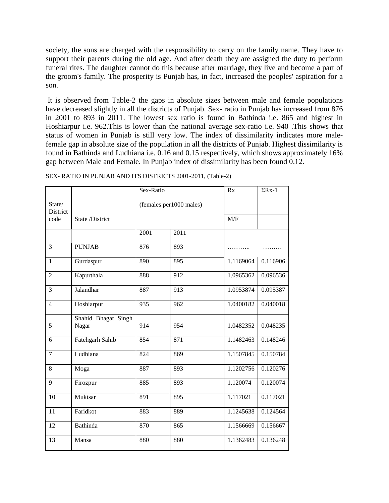society, the sons are charged with the responsibility to carry on the family name. They have to support their parents during the old age. And after death they are assigned the duty to perform funeral rites. The daughter cannot do this because after marriage, they live and become a part of the groom's family. The prosperity is Punjab has, in fact, increased the peoples' aspiration for a son.

It is observed from Table-2 the gaps in absolute sizes between male and female populations have decreased slightly in all the districts of Punjab. Sex- ratio in Punjab has increased from 876 in 2001 to 893 in 2011. The lowest sex ratio is found in Bathinda i.e. 865 and highest in Hoshiarpur i.e. 962.This is lower than the national average sex-ratio i.e. 940 .This shows that status of women in Punjab is still very low. The index of dissimilarity indicates more malefemale gap in absolute size of the population in all the districts of Punjab. Highest dissimilarity is found in Bathinda and Ludhiana i.e. 0.16 and 0.15 respectively, which shows approximately 16% gap between Male and Female. In Punjab index of dissimilarity has been found 0.12.

|                           |                              | Sex-Ratio |                         | Rx        | $\Sigma$ Rx-1 |
|---------------------------|------------------------------|-----------|-------------------------|-----------|---------------|
| State/<br><b>District</b> |                              |           | (females per1000 males) |           |               |
| code                      | State /District              |           |                         | M/F       |               |
|                           |                              | 2001      | 2011                    |           |               |
| 3                         | <b>PUNJAB</b>                | 876       | 893                     |           |               |
| $\mathbf{1}$              | Gurdaspur                    | 890       | 895                     | 1.1169064 | 0.116906      |
| $\overline{2}$            | Kapurthala                   | 888       | 912                     | 1.0965362 | 0.096536      |
| 3                         | Jalandhar                    | 887       | 913                     | 1.0953874 | 0.095387      |
| $\overline{4}$            | Hoshiarpur                   | 935       | 962                     | 1.0400182 | 0.040018      |
| 5                         | Shahid Bhagat Singh<br>Nagar | 914       | 954                     | 1.0482352 | 0.048235      |
| 6                         | Fatehgarh Sahib              | 854       | 871                     | 1.1482463 | 0.148246      |
| $\overline{7}$            | Ludhiana                     | 824       | 869                     | 1.1507845 | 0.150784      |
| 8                         | Moga                         | 887       | 893                     | 1.1202756 | 0.120276      |
| 9                         | Firozpur                     | 885       | 893                     | 1.120074  | 0.120074      |
| 10                        | Muktsar                      | 891       | 895                     | 1.117021  | 0.117021      |
| 11                        | Faridkot                     | 883       | 889                     | 1.1245638 | 0.124564      |
| 12                        | Bathinda                     | 870       | 865                     | 1.1566669 | 0.156667      |
| 13                        | Mansa                        | 880       | 880                     | 1.1362483 | 0.136248      |

SEX- RATIO IN PUNJAB AND ITS DISTRICTS 2001-2011, (Table-2)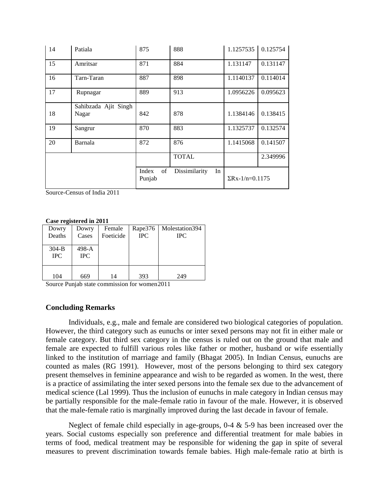| 14 | Patiala                       | 875                   | 888                 | 1.1257535              | 0.125754 |
|----|-------------------------------|-----------------------|---------------------|------------------------|----------|
| 15 | Amritsar                      | 871                   | 884                 | 1.131147               | 0.131147 |
| 16 | Tarn-Taran                    | 887                   | 898                 | 1.1140137              | 0.114014 |
| 17 | Rupnagar                      | 889                   | 913                 | 1.0956226              | 0.095623 |
| 18 | Sahibzada Ajit Singh<br>Nagar | 842                   | 878                 | 1.1384146              | 0.138415 |
| 19 | Sangrur                       | 870                   | 883                 | 1.1325737              | 0.132574 |
| 20 | Barnala                       | 872                   | 876                 | 1.1415068              | 0.141507 |
|    |                               |                       | <b>TOTAL</b>        |                        | 2.349996 |
|    |                               | Index<br>of<br>Punjab | Dissimilarity<br>In | $\Sigma$ Rx-1/n=0.1175 |          |

Source-Census of India 2011

#### **Case registered in 2011**

| Dowry      | Dowry      | Female    | Rape376    | Molestation394 |
|------------|------------|-----------|------------|----------------|
| Deaths     | Cases      | Foeticide | <b>IPC</b> | <b>IPC</b>     |
|            |            |           |            |                |
| $304-B$    | 498-A      |           |            |                |
| <b>IPC</b> | <b>IPC</b> |           |            |                |
|            |            |           |            |                |
|            |            |           |            |                |
| 104        | 669        | 14        | 393        | 249            |

Source Punjab state commission for women2011

#### **Concluding Remarks**

Individuals, e.g., male and female are considered two biological categories of population. However, the third category such as eunuchs or inter sexed persons may not fit in either male or female category. But third sex category in the census is ruled out on the ground that male and female are expected to fulfill various roles like father or mother, husband or wife essentially linked to the institution of marriage and family (Bhagat 2005). In Indian Census, eunuchs are counted as males (RG 1991). However, most of the persons belonging to third sex category present themselves in feminine appearance and wish to be regarded as women. In the west, there is a practice of assimilating the inter sexed persons into the female sex due to the advancement of medical science (Lal 1999). Thus the inclusion of eunuchs in male category in Indian census may be partially responsible for the male-female ratio in favour of the male. However, it is observed that the male-female ratio is marginally improved during the last decade in favour of female.

Neglect of female child especially in age-groups,  $0-4 \& 5-9$  has been increased over the years. Social customs especially son preference and differential treatment for male babies in terms of food, medical treatment may be responsible for widening the gap in spite of several measures to prevent discrimination towards female babies. High male-female ratio at birth is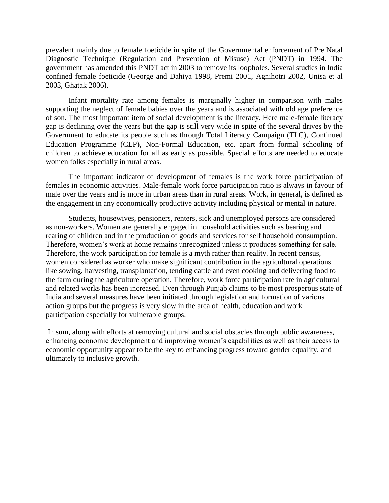prevalent mainly due to female foeticide in spite of the Governmental enforcement of Pre Natal Diagnostic Technique (Regulation and Prevention of Misuse) Act (PNDT) in 1994. The government has amended this PNDT act in 2003 to remove its loopholes. Several studies in India confined female foeticide (George and Dahiya 1998, Premi 2001, Agnihotri 2002, Unisa et al 2003, Ghatak 2006).

Infant mortality rate among females is marginally higher in comparison with males supporting the neglect of female babies over the years and is associated with old age preference of son. The most important item of social development is the literacy. Here male-female literacy gap is declining over the years but the gap is still very wide in spite of the several drives by the Government to educate its people such as through Total Literacy Campaign (TLC), Continued Education Programme (CEP), Non-Formal Education, etc. apart from formal schooling of children to achieve education for all as early as possible. Special efforts are needed to educate women folks especially in rural areas.

The important indicator of development of females is the work force participation of females in economic activities. Male-female work force participation ratio is always in favour of male over the years and is more in urban areas than in rural areas. Work, in general, is defined as the engagement in any economically productive activity including physical or mental in nature.

Students, housewives, pensioners, renters, sick and unemployed persons are considered as non-workers. Women are generally engaged in household activities such as bearing and rearing of children and in the production of goods and services for self household consumption. Therefore, women's work at home remains unrecognized unless it produces something for sale. Therefore, the work participation for female is a myth rather than reality. In recent census, women considered as worker who make significant contribution in the agricultural operations like sowing, harvesting, transplantation, tending cattle and even cooking and delivering food to the farm during the agriculture operation. Therefore, work force participation rate in agricultural and related works has been increased. Even through Punjab claims to be most prosperous state of India and several measures have been initiated through legislation and formation of various action groups but the progress is very slow in the area of health, education and work participation especially for vulnerable groups.

In sum, along with efforts at removing cultural and social obstacles through public awareness, enhancing economic development and improving women's capabilities as well as their access to economic opportunity appear to be the key to enhancing progress toward gender equality, and ultimately to inclusive growth.